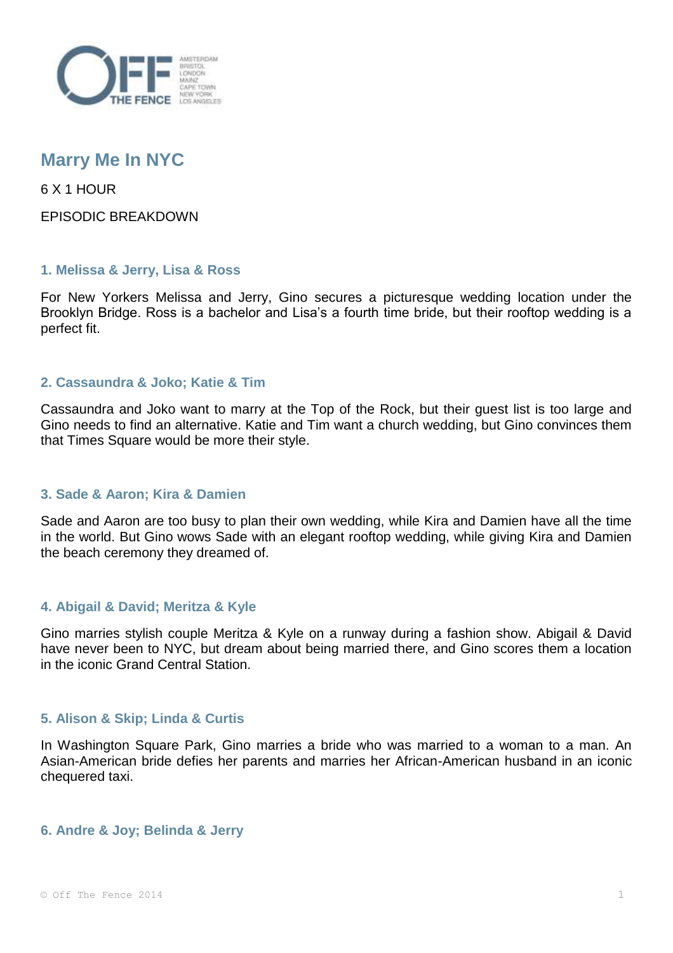

# **Marry Me In NYC**

6 X 1 HOUR

EPISODIC BREAKDOWN

### **1. Melissa & Jerry, Lisa & Ross**

For New Yorkers Melissa and Jerry, Gino secures a picturesque wedding location under the Brooklyn Bridge. Ross is a bachelor and Lisa's a fourth time bride, but their rooftop wedding is a perfect fit.

## **2. Cassaundra & Joko; Katie & Tim**

Cassaundra and Joko want to marry at the Top of the Rock, but their guest list is too large and Gino needs to find an alternative. Katie and Tim want a church wedding, but Gino convinces them that Times Square would be more their style.

### **3. Sade & Aaron; Kira & Damien**

Sade and Aaron are too busy to plan their own wedding, while Kira and Damien have all the time in the world. But Gino wows Sade with an elegant rooftop wedding, while giving Kira and Damien the beach ceremony they dreamed of.

### **4. Abigail & David; Meritza & Kyle**

Gino marries stylish couple Meritza & Kyle on a runway during a fashion show. Abigail & David have never been to NYC, but dream about being married there, and Gino scores them a location in the iconic Grand Central Station.

### **5. Alison & Skip; Linda & Curtis**

In Washington Square Park, Gino marries a bride who was married to a woman to a man. An Asian-American bride defies her parents and marries her African-American husband in an iconic chequered taxi.

### **6. Andre & Joy; Belinda & Jerry**